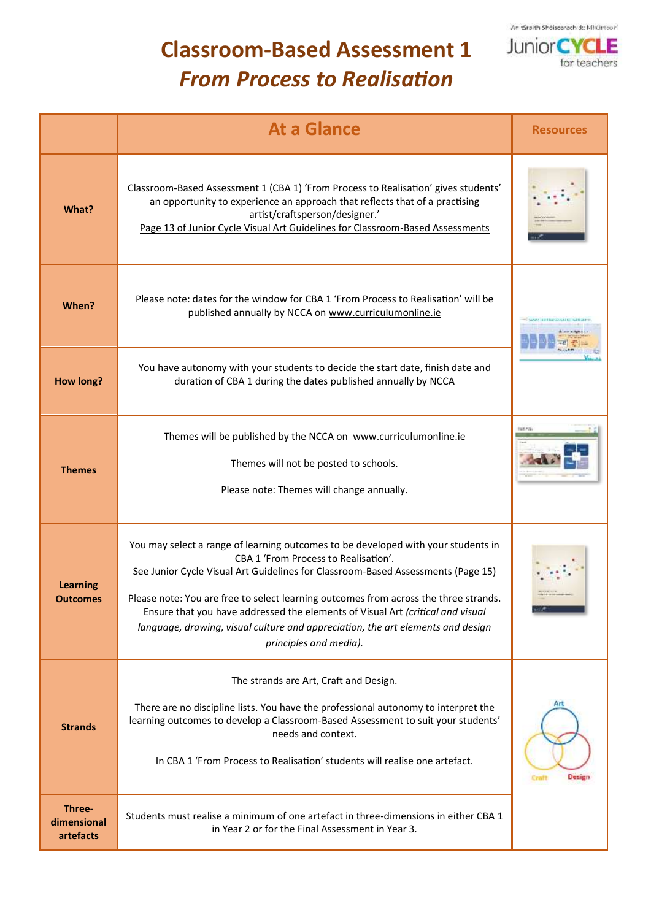

## **Classroom-Based Assessment 1** *From Process to Realisation*

|                                    | <b>At a Glance</b>                                                                                                                                                                                                                                                                                                                                                                                                                                                                                   | <b>Resources</b>       |
|------------------------------------|------------------------------------------------------------------------------------------------------------------------------------------------------------------------------------------------------------------------------------------------------------------------------------------------------------------------------------------------------------------------------------------------------------------------------------------------------------------------------------------------------|------------------------|
| What?                              | Classroom-Based Assessment 1 (CBA 1) 'From Process to Realisation' gives students'<br>an opportunity to experience an approach that reflects that of a practising<br>artist/craftsperson/designer.'<br>Page 13 of Junior Cycle Visual Art Guidelines for Classroom-Based Assessments                                                                                                                                                                                                                 |                        |
| When?                              | Please note: dates for the window for CBA 1 'From Process to Realisation' will be<br>published annually by NCCA on www.curriculumonline.ie                                                                                                                                                                                                                                                                                                                                                           |                        |
| <b>How long?</b>                   | You have autonomy with your students to decide the start date, finish date and<br>duration of CBA 1 during the dates published annually by NCCA                                                                                                                                                                                                                                                                                                                                                      |                        |
| <b>Themes</b>                      | Themes will be published by the NCCA on www.curriculumonline.ie<br>Themes will not be posted to schools.<br>Please note: Themes will change annually.                                                                                                                                                                                                                                                                                                                                                |                        |
| <b>Learning</b><br><b>Outcomes</b> | You may select a range of learning outcomes to be developed with your students in<br>CBA 1 'From Process to Realisation'.<br>See Junior Cycle Visual Art Guidelines for Classroom-Based Assessments (Page 15)<br>Please note: You are free to select learning outcomes from across the three strands.<br>Ensure that you have addressed the elements of Visual Art (critical and visual<br>language, drawing, visual culture and appreciation, the art elements and design<br>principles and media). |                        |
| <b>Strands</b>                     | The strands are Art, Craft and Design.<br>There are no discipline lists. You have the professional autonomy to interpret the<br>learning outcomes to develop a Classroom-Based Assessment to suit your students'<br>needs and context.<br>In CBA 1 'From Process to Realisation' students will realise one artefact.                                                                                                                                                                                 | Art<br>Craft<br>Design |
| Three-<br>dimensional<br>artefacts | Students must realise a minimum of one artefact in three-dimensions in either CBA 1<br>in Year 2 or for the Final Assessment in Year 3.                                                                                                                                                                                                                                                                                                                                                              |                        |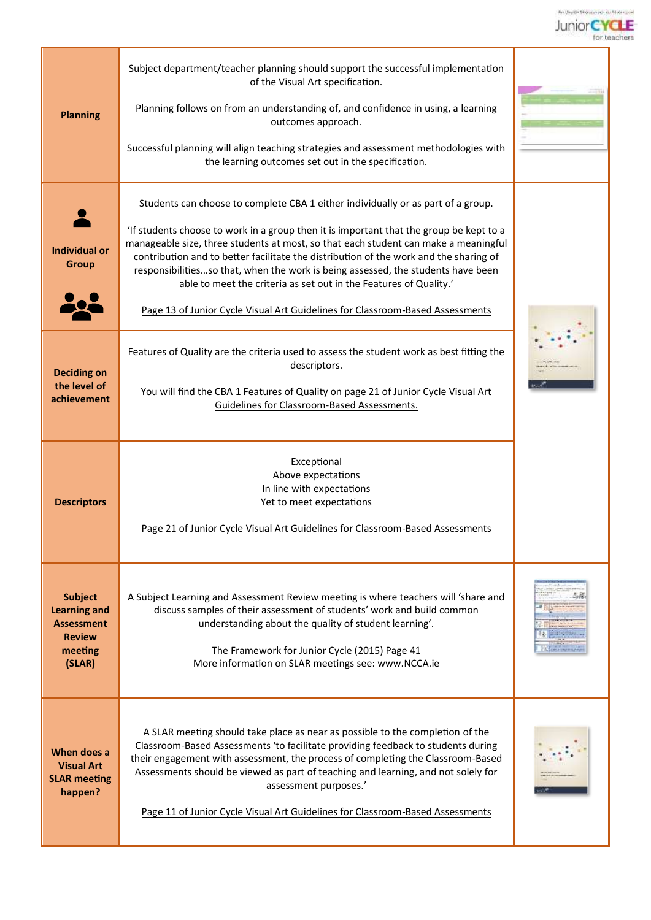

| <b>Planning</b>                                                                                  | Subject department/teacher planning should support the successful implementation<br>of the Visual Art specification.<br>Planning follows on from an understanding of, and confidence in using, a learning<br>outcomes approach.<br>Successful planning will align teaching strategies and assessment methodologies with<br>the learning outcomes set out in the specification.                                                                                                                                                                                                                        |  |
|--------------------------------------------------------------------------------------------------|-------------------------------------------------------------------------------------------------------------------------------------------------------------------------------------------------------------------------------------------------------------------------------------------------------------------------------------------------------------------------------------------------------------------------------------------------------------------------------------------------------------------------------------------------------------------------------------------------------|--|
| <b>Individual or</b><br>Group                                                                    | Students can choose to complete CBA 1 either individually or as part of a group.<br>'If students choose to work in a group then it is important that the group be kept to a<br>manageable size, three students at most, so that each student can make a meaningful<br>contribution and to better facilitate the distribution of the work and the sharing of<br>responsibilitiesso that, when the work is being assessed, the students have been<br>able to meet the criteria as set out in the Features of Quality.'<br>Page 13 of Junior Cycle Visual Art Guidelines for Classroom-Based Assessments |  |
| <b>Deciding on</b><br>the level of<br>achievement                                                | Features of Quality are the criteria used to assess the student work as best fitting the<br>descriptors.<br>You will find the CBA 1 Features of Quality on page 21 of Junior Cycle Visual Art<br>Guidelines for Classroom-Based Assessments.                                                                                                                                                                                                                                                                                                                                                          |  |
| <b>Descriptors</b>                                                                               | Exceptional<br>Above expectations<br>In line with expectations<br>Yet to meet expectations<br>Page 21 of Junior Cycle Visual Art Guidelines for Classroom-Based Assessments                                                                                                                                                                                                                                                                                                                                                                                                                           |  |
| <b>Subject</b><br><b>Learning and</b><br><b>Assessment</b><br><b>Review</b><br>meeting<br>(SLAR) | A Subject Learning and Assessment Review meeting is where teachers will 'share and<br>discuss samples of their assessment of students' work and build common<br>understanding about the quality of student learning'.<br>The Framework for Junior Cycle (2015) Page 41<br>More information on SLAR meetings see: www.NCCA.ie                                                                                                                                                                                                                                                                          |  |
| When does a<br><b>Visual Art</b><br><b>SLAR meeting</b><br>happen?                               | A SLAR meeting should take place as near as possible to the completion of the<br>Classroom-Based Assessments 'to facilitate providing feedback to students during<br>their engagement with assessment, the process of completing the Classroom-Based<br>Assessments should be viewed as part of teaching and learning, and not solely for<br>assessment purposes.'<br>Page 11 of Junior Cycle Visual Art Guidelines for Classroom-Based Assessments                                                                                                                                                   |  |